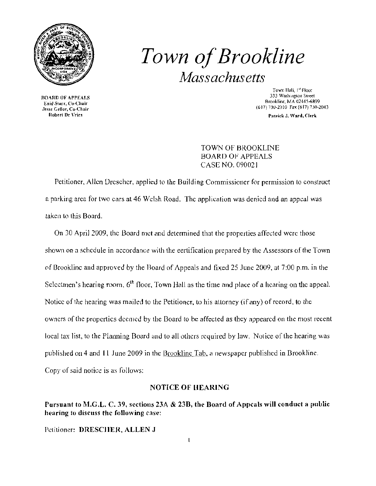

## *Town ofBrookline Massachusetts*

Town Hall, <sup>14</sup> Floor<br>333 Washington Street 333 Washington Street 333 Washington Street 333 Washington Street 333 Washington Street 333 Washington Street 8rooklinc, MA U2+45-6899<br>1989-6899 Enil Enil Encoklinc, MA U2+45-6899<br>1989-6899 Enil Encoklinc, Co-Chair (617) 130-2043

United Street Beatles and the United Street Associates of the United Street Associates and Department of the United Street Associates and the United Street Associates and Department of the United Street Associates and Depa

TOWN OF BROOKLINE BOARD OF APPEALS CASE NO. 090021

Petitioner, Allen Drescher, applied to the Building Commissioner for permission to construct a parking area for two cars at 46 Welsh Road. The application was denied and an appeal was taken to this Board.

On 30 April 2009, the Board met and delermined that the properties affected were those shown on a schedule in accordance with the eertification prepared by the Assessors of the Town of Brooklinc and approved by the Board of Appeals and fixed 25 June 2009, at 7:00 p.m. in the Selectmen's hearing room,  $6<sup>th</sup>$  floor, Town Hall as the time and place of a hearing on the appeal. Notice of the hearing was mailed to the Peticioner, to his attorney (if any) of record, to the owners of the properties deemed by the Board to be affected as they appeared on the most recent local tax list, to the Planning Board and to all others required by law. Notice of the hearing was published on 4 and 11 June 2009 in the Brookline Tab, a newspaper published in Brookline. Copy of said notice is as follows:

## NOTICE OF HEARING

Pursuant to M.G.L. C. 39, sections 23A & 23B, the Board of Appeals will conduct a public hearing to discuss the following case:

Petitioner: DRESCHER, ALLEN J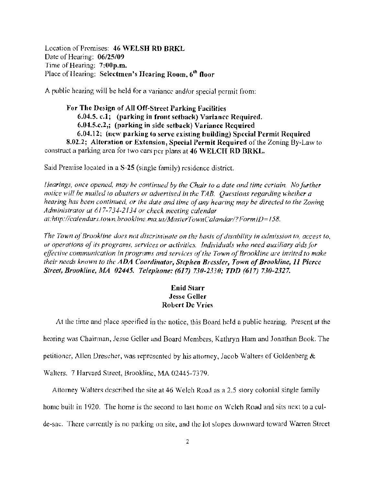Location of Premises: 46 WELSH RD BRKL Date of Hearing:  $06/25/09$ Time of Hearing:  $7:00p.m.$ Place of Hearing: Selectmen's Hearing Room, 6<sup>th</sup> floor

A public hearing will be held for a variance *and/or* special permit from:

For The Design of All Off-Street Parking Facilities 6.04.5. c.l; (parking in front setback) Variance Required. 6.04.5.c.2,; (parking in side setback) Variance Required 6.04.12; (new parking (0 serve existing building) Special Permit Required 8.02.2; Alteration or Extension, Special Permit Required of the Zoning. By-Law to construct a parking area for two cars per plans at 46 WELCH RD BRKL.

Said Premise located in a  $S-25$  (single family) residence district.

*I/carings, once opened, may he confinued by the Chair* 10 *a date and lime certain. /I/o further notice will be mailed to abutters or advertised in the TAB. Questions regarding whether a hearing has been continued, or the date and time of any hearing may be directed to the Zoning Administrator at* 6*17-734-2* f 34 *or check meeting calendar at:http://calendar.\'.town. hrook/ine. mo. us/MaslerTownCa/andar/?Form ID=* f *58.* 

The Town of Brookline does not discriminate on the basis of disability in admission to, access to, or operations of its programs, services or activities. Individuals who need auxiliary aids for *effective communication in programs and services of the Town of Brookline are invited to make their needs known to the ADA Coordinator, Stephen Bressler, Town of Brookline, 11 Pierce Sireel, Brookline, MA 02445. Telepltone:* (617) *730-2330; TDD* (617) *730-2327.* 

## Enid Siarr Jesse Geller Robert De Vries

At the time and place specified in the notice, this Board held a public hearing. Present at the hearing was Chairman, Jesse Geller and Board Members, Kathryn Ham and Jonathan Book. The petitioncr. Allen Drescher, was represented by his attorney, Jacob Walters of Goldenberg  $\&$ 

Walters, 7 Harvard Street, Brooklinc, MA 02445-7379,

Attorney Walters described the site at 46 Welch Road as a 2.5 story colonial single family

home built in 1920. The home is the second to last home on Welch Road and sits next to a cul-

de-sac. There currently is no parking on site, and the lot stopes downward toward Warren Street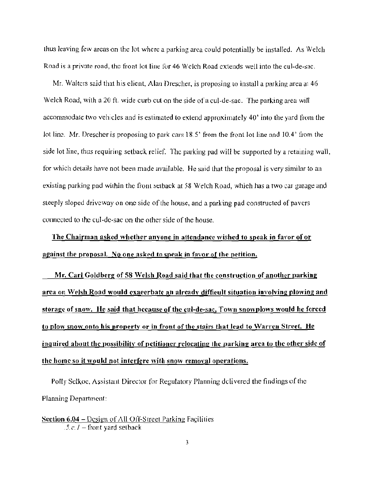thus leaving few areas on the lot where a parking area could potenlially be installed. As Welch Road is a private road, the front lot line for 46 Welch Road extends well into the cul-de-sac,

Mr. Walters said that his client, Alan Drescher, is proposing to install a parking area at 46 Welch Road, with a 20 ft. *wide* curb cut on the side ofa cul-de-sac. The parking area will accommodate two vehicles and is estimated to extend approximately 40' into the yard from the lot line. Mr. Drescher is proposing to park cars 18.5' from the front lot line nnd 10.4' from the side lot line, thus requiring setback relief. The parking pad will be supported by a retaining wall, for which details have not been made available. He said that the proposal is very similar to an existing parking pad within the front setback at 58 Welch Road, which has a two car garage and slceply sloped driveway on one side of the house, and a parking pad constructed of pavers connected to the cuI-de-sac on the other side of the house.

The Chairman asked whether anyone in altendance wished to speak in favor of or against the proposal. No one asked to speak in favor of the petition.

Mr. Carl Goldberg of 58 Welsh Road said that the construction of another parking area on Welsh Road would exaeerbate an already diffieult situation involving plowing and storage of snow. He said that heeause of the cul-de-sac, Town snowplows would he forced to plow snow onto his property or in front of the stairs that lead to Warren Street. He inquired about the possibility of petitioner relocating lhc parking area to the other side of the home so it would not interfere with snow removal operations.

Polly Selkoe, Assistant Director for Regulatory Planning delivered the findings of the Planning Departmcnl:

Section  $6.04 -$  Design of All Off-Street Parking Facilities  $.5.c.$   $J$  - front yard setback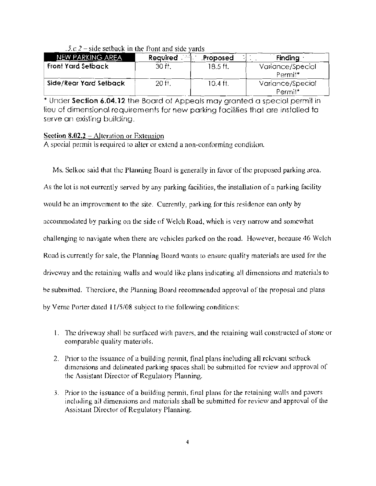| NEW PARKING AREA          | <b>Required</b><br>್ನಾ | <br>Proposed | <b>Finding</b>                          |
|---------------------------|------------------------|--------------|-----------------------------------------|
| <b>Front Yard Setback</b> | 30 ft.                 | $18.5$ ft.   | Variance/Special<br>Permit <sup>*</sup> |
| Side/Rear Yard Setback    | 20 ft.                 | 10.4 ft.     | Variance/Special<br>Permit*             |

| $.5.c.2$ – side setback in the front and side yards |
|-----------------------------------------------------|
|-----------------------------------------------------|

Permit\* . I , Under Sechon 6.04.12 the Board of Appeals may granted a speCial permit In \leu of dimensional requirements for new parking facilities that are insfa\!ed to serve on existing building.

## Scction *8.02.2* - Alteration or Extension

A special pennit is required to alter or extend a non-conforming condition.

Ms. Selkoe said that the Planning Board is generally in favor of tile proposed parking area. As the lot is not currently served by any parking facilities, the installation of a parking facility would be an improvement to the site. Currently, parking for this residence can only by accommodated by parking on the side of Welch Road, which is very narrow and somewhat challenging to navigate when there are vehicles parked on the road. However, because 46 Welch Road is currently for sale, the Planning Board wants to ensure quality materials are used for the driveway and the retaining walls and would like plans indicating all dimensions and materials to be submitted. Therefore, the Planning Board recommended approval of the proposal and plans by Verne Porter dated 11/5/08 subject to the following conditions:

- 1. The driveway shall be surfaced with pavers, and the retaining wall constructed of stone or comparable quality materials.
- 2. Prior to the issuance of a building permit, final plans ineluding all relevant setback dimensions and delineated parking spaces shall be submitted for review and approval of the Assistant Director of Regulatory Planning.
- 3. Prior to the issuance of a building permit, final plans for the retaining walls and pavers including all dimensions and materials shall be submitted for review and approval of the Assislant Director of Regulatory Planning.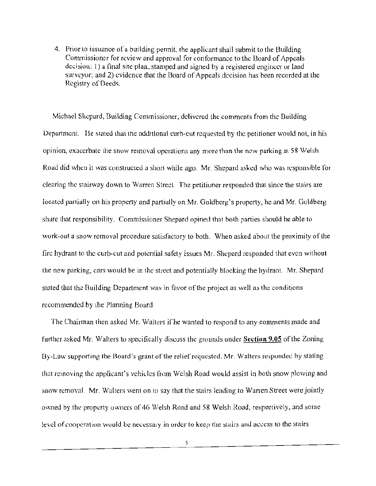4. Prior to issuance of a building permit, the applicant shall submit to the Building Commissioner for review and approval for conformance to thc Board of Arpeals decision: I) a final site plan, stamped and signed by a registered engincer or land surveyor; and 2) evidence that the Board of Appeals decision has been recorded at the Registry of Deeds.

Michael Shcpurd, Building Commissioner. delivered the comments from the Building Department. He stated that the additional curb-cut requested by the petitioner would not, in his opinion, exacerbate the snow removal operations any more than the new parking at 58 Welsh Road did when it was constructed a short while ago. Mr. Shepard asked who was responsible for clearing the stairway down to Warren Street. The petitioner responded that since the stairs are located partially on his property and partially on Mr. Goldberg's property, he and Mr. Goldberg share that responsibility. Commissioner Shepard opined that both parties should he able to work-out a snow removal procedure satisfactory to both. When asked about the prox imity of the fire hydrant to the curb-cut and pOlential safety issues Mr. Shepard responded that even without the new parking, cars would be in the street and potentially blocking the hydrant. Mr. Shepard stated that the Building Department was in favor of the project as well as the conditions rccommended by the Planning Board.

The Chairman then asked Mr. Walters if he wanted to respond to any comments made and further asked Mr. Walters to specifically discuss the grounds under **Section** 9.05 of the Zoning By-Law supporting the Board's grant of the relief requested. Mr. Walters responded by stating that removing the applicant's vehides from Welsh Road would assist in both snow plowing and snow removal. Mr. Walters went on to say that the stairs leading to Warren Street were jointly owned by the property owners of 46 Welsh Road and 58 Welsh Road, respectively, and some level of cooperation would be necessary in order to keep the stairs and access to the stairs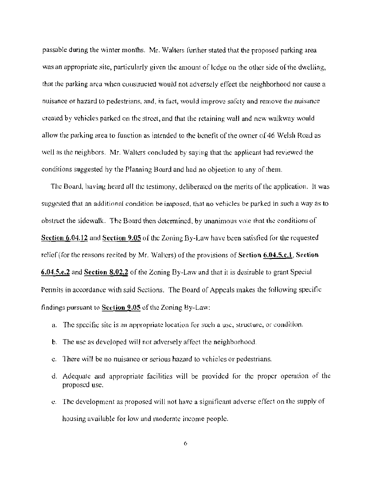passable during the winter months. Mr. Walters further stated that the proposed parking area was an appropriate site, particularly given the amount of ledge on the other side of the dwelling, that the parking area when constructed would not adversely effect the neighborhood nor cause a nuisance or hazard to pedestrians, and, in fact, would improve safety and remove the nuisance t:reuled by vehicles parked on the street, and that the retaining wall and new walkway would allow the parking area to function as intended to the benefit of the owner of 46 Welsh Road as well as the neighbors. Mr. Walters concluded by saying that the applicant had reviewed the conditions suggested hy the Planning Board and had no objection to any of them.

The Board, having heard all the testimony, deliberated on the merits of the application. It was suggested that an additinnni condition be imposed, that no vehicles be parked in such a way as to obstruct the sidewalk. The Board then determined, by unanimous vole that the conditions of Section 6.04.12 and Section 9.05 of the Zoning By-Law have been satisfied for the requested relief (for the reasons recited by Mr. Walters) of the provisions of Section 6.04.5.c.1, Section 6.04.5.e.2 and Section  $8.02.2$  of the Zoning By-Law and that it is desirable to grant Special Permits in accordance with said Sections. The Board of Appeals makes the following specific findings pursuant to Scetion 9.05 of the Zoning By-Law:

- a. The specific site is an appropriate location for such a use, structure, or condition.
- b. The use as developed will not adversely affect the neighborhood.
- c. There will be no nuisance or serious hazard to vehicles or pcdestrians.
- d. Adequate and appropriate facilities will be provided for the proper operation of the proposed use.
- c. The devclopmcnt as proposed will not have a significant advcrse effect on the supply of housing available for low and moderatc income pcople.

6